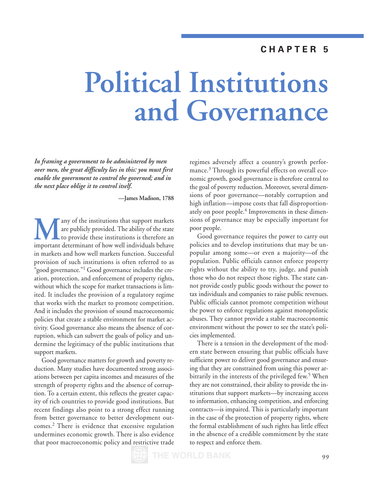# **CHAPTER 5**

# **Political Institutions and Governance**

*In framing a government to be administered by men over men, the great difficulty lies in this: you must first enable the government to control the governed; and in the next place oblige it to control itself.*

**—James Madison, 1788**

**M**any of the institutions that support markets are publicly provided. The ability of the state to provide these institutions is therefore an important determinant of how well individuals behave are publicly provided. The ability of the state to provide these institutions is therefore an in markets and how well markets function. Successful provision of such institutions is often referred to as "good governance."<sup>1</sup> Good governance includes the creation, protection, and enforcement of property rights, without which the scope for market transactions is limited. It includes the provision of a regulatory regime that works with the market to promote competition. And it includes the provision of sound macroeconomic policies that create a stable environment for market activity. Good governance also means the absence of corruption, which can subvert the goals of policy and undermine the legitimacy of the public institutions that support markets.

Good governance matters for growth and poverty reduction. Many studies have documented strong associations between per capita incomes and measures of the strength of property rights and the absence of corruption. To a certain extent, this reflects the greater capacity of rich countries to provide good institutions. But recent findings also point to a strong effect running from better governance to better development outcomes.<sup>2</sup> There is evidence that excessive regulation undermines economic growth. There is also evidence that poor macroeconomic policy and restrictive trade regimes adversely affect a country's growth performance.<sup>3</sup> Through its powerful effects on overall economic growth, good governance is therefore central to the goal of poverty reduction. Moreover, several dimensions of poor governance—notably corruption and high inflation—impose costs that fall disproportionately on poor people.<sup>4</sup> Improvements in these dimensions of governance may be especially important for poor people.

Good governance requires the power to carry out policies and to develop institutions that may be unpopular among some—or even a majority—of the population. Public officials cannot enforce property rights without the ability to try, judge, and punish those who do not respect those rights. The state cannot provide costly public goods without the power to tax individuals and companies to raise public revenues. Public officials cannot promote competition without the power to enforce regulations against monopolistic abuses. They cannot provide a stable macroeconomic environment without the power to see the state's policies implemented.

There is a tension in the development of the modern state between ensuring that public officials have sufficient power to deliver good governance and ensuring that they are constrained from using this power arbitrarily in the interests of the privileged few.<sup>5</sup> When they are not constrained, their ability to provide the institutions that support markets—by increasing access to information, enhancing competition, and enforcing contracts—is impaired. This is particularly important in the case of the protection of property rights, where the formal establishment of such rights has little effect in the absence of a credible commitment by the state to respect and enforce them.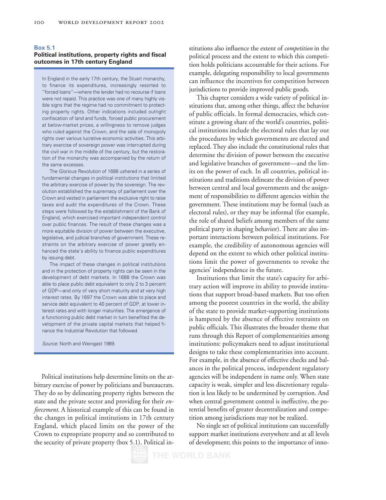### **Box 5.1**

# **Political institutions, property rights and fiscal outcomes in 17th century England**

In England in the early 17th century, the Stuart monarchy, to finance its expenditures, increasingly resorted to "forced loans"—where the lender had no recourse if loans were not repaid. This practice was one of many highly visible signs that the regime had no commitment to protecting property rights. Other indications included outright confiscation of land and funds, forced public procurement at below-market prices, a willingness to remove judges who ruled against the Crown, and the sale of monopoly rights over various lucrative economic activities. This arbitrary exercise of sovereign power was interrupted during the civil war in the middle of the century, but the restoration of the monarchy was accompanied by the return of the same excesses.

The Glorious Revolution of 1688 ushered in a series of fundamental changes in political institutions that limited the arbitrary exercise of power by the sovereign. The revolution established the supremacy of parliament over the Crown and vested in parliament the exclusive right to raise taxes and audit the expenditures of the Crown. These steps were followed by the establishment of the Bank of England, which exercised important independent control over public finances. The result of these changes was a more equitable division of power between the executive, legislative, and judicial branches of government. These restraints on the arbitrary exercise of power greatly enhanced the state's ability to finance public expenditures by issuing debt.

The impact of these changes in political institutions and in the protection of property rights can be seen in the development of debt markets. In 1688 the Crown was able to place public debt equivalent to only 2 to 3 percent of GDP—and only of very short maturity and at very high interest rates. By 1697 the Crown was able to place and service debt equivalent to 40 percent of GDP, at lower interest rates and with longer maturities. The emergence of a functioning public debt market in turn benefited the development of the private capital markets that helped finance the Industrial Revolution that followed.

*Source:* North and Weingast 1989.

Political institutions help determine limits on the arbitrary exercise of power by politicians and bureaucrats. They do so by delineating property rights between the state and the private sector and providing for their *enforcement*. A historical example of this can be found in the changes in political institutions in 17th century England, which placed limits on the power of the Crown to expropriate property and so contributed to the security of private property (box 5.1). Political institutions also influence the extent of *competition* in the political process and the extent to which this competition holds politicians accountable for their actions. For example, delegating responsibility to local governments can influence the incentives for competition between jurisdictions to provide improved public goods.

This chapter considers a wide variety of political institutions that, among other things, affect the behavior of public officials. In formal democracies, which constitute a growing share of the world's countries, political institutions include the electoral rules that lay out the procedures by which governments are elected and replaced. They also include the constitutional rules that determine the division of power between the executive and legislative branches of government—and the limits on the power of each. In all countries, political institutions and traditions delineate the division of power between central and local governments and the assignment of responsibilities to different agencies within the government. These institutions may be formal (such as electoral rules), or they may be informal (for example, the role of shared beliefs among members of the same political party in shaping behavior). There are also important interactions between political institutions. For example, the credibility of autonomous agencies will depend on the extent to which other political institutions limit the power of governments to revoke the agencies' independence in the future.

Institutions that limit the state's capacity for arbitrary action will improve its ability to provide institutions that support broad-based markets. But too often among the poorest countries in the world, the ability of the state to provide market-supporting institutions is hampered by the absence of effective restraints on public officials. This illustrates the broader theme that runs through this Report of complementarities among institutions: policymakers need to adjust institutional designs to take these complementarities into account. For example, in the absence of effective checks and balances in the political process, independent regulatory agencies will be independent in name only. When state capacity is weak, simpler and less discretionary regulation is less likely to be undermined by corruption. And when central government control is ineffective, the potential benefits of greater decentralization and competition among jurisdictions may not be realized.

No single set of political institutions can successfully support market institutions everywhere and at all levels of development; this points to the importance of inno-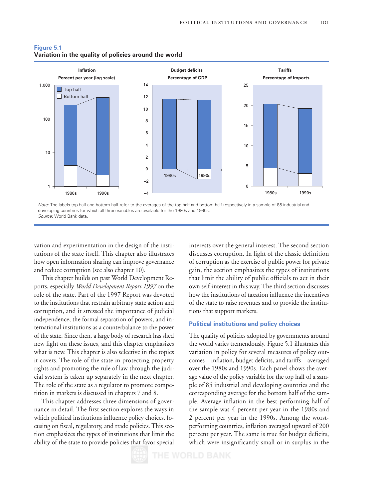

# **Figure 5.1 Variation in the quality of policies around the world**

*Note:* The labels top half and bottom half refer to the averages of the top half and bottom half respectively in a sample of 85 industrial and developing countries for which all three variables are available for the 1980s and 1990s. *Source:* World Bank data.

vation and experimentation in the design of the institutions of the state itself. This chapter also illustrates how open information sharing can improve governance and reduce corruption (see also chapter 10).

This chapter builds on past World Development Reports, especially *World Development Report 1997* on the role of the state. Part of the 1997 Report was devoted to the institutions that restrain arbitrary state action and corruption, and it stressed the importance of judicial independence, the formal separation of powers, and international institutions as a counterbalance to the power of the state. Since then, a large body of research has shed new light on these issues, and this chapter emphasizes what is new. This chapter is also selective in the topics it covers. The role of the state in protecting property rights and promoting the rule of law through the judicial system is taken up separately in the next chapter. The role of the state as a regulator to promote competition in markets is discussed in chapters 7 and 8.

This chapter addresses three dimensions of governance in detail. The first section explores the ways in which political institutions influence policy choices, focusing on fiscal, regulatory, and trade policies. This section emphasizes the types of institutions that limit the ability of the state to provide policies that favor special interests over the general interest. The second section discusses corruption. In light of the classic definition of corruption as the exercise of public power for private gain, the section emphasizes the types of institutions that limit the ability of public officials to act in their own self-interest in this way. The third section discusses how the institutions of taxation influence the incentives of the state to raise revenues and to provide the institutions that support markets.

# **Political institutions and policy choices**

The quality of policies adopted by governments around the world varies tremendously. Figure 5.1 illustrates this variation in policy for several measures of policy outcomes—inflation, budget deficits, and tariffs—averaged over the 1980s and 1990s. Each panel shows the average value of the policy variable for the top half of a sample of 85 industrial and developing countries and the corresponding average for the bottom half of the sample. Average inflation in the best-performing half of the sample was 4 percent per year in the 1980s and 2 percent per year in the 1990s. Among the worstperforming countries, inflation averaged upward of 200 percent per year. The same is true for budget deficits, which were insignificantly small or in surplus in the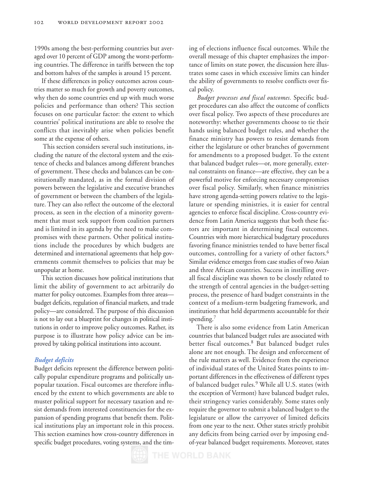1990s among the best-performing countries but averaged over 10 percent of GDP among the worst-performing countries. The difference in tariffs between the top and bottom halves of the samples is around 15 percent.

If these differences in policy outcomes across countries matter so much for growth and poverty outcomes, why then do some countries end up with much worse policies and performance than others? This section focuses on one particular factor: the extent to which countries' political institutions are able to resolve the conflicts that inevitably arise when policies benefit some at the expense of others.

This section considers several such institutions, including the nature of the electoral system and the existence of checks and balances among different branches of government. These checks and balances can be constitutionally mandated, as in the formal division of powers between the legislative and executive branches of government or between the chambers of the legislature. They can also reflect the outcome of the electoral process, as seen in the election of a minority government that must seek support from coalition partners and is limited in its agenda by the need to make compromises with these partners. Other political institutions include the procedures by which budgets are determined and international agreements that help governments commit themselves to policies that may be unpopular at home.

This section discusses how political institutions that limit the ability of government to act arbitrarily do matter for policy outcomes. Examples from three areas budget deficits, regulation of financial markets, and trade policy—are considered. The purpose of this discussion is not to lay out a blueprint for changes in political institutions in order to improve policy outcomes. Rather, its purpose is to illustrate how policy advice can be improved by taking political institutions into account.

# *Budget deficits*

Budget deficits represent the difference between politically popular expenditure programs and politically unpopular taxation. Fiscal outcomes are therefore influenced by the extent to which governments are able to muster political support for necessary taxation and resist demands from interested constituencies for the expansion of spending programs that benefit them. Political institutions play an important role in this process. This section examines how cross-country differences in specific budget procedures, voting systems, and the timing of elections influence fiscal outcomes. While the overall message of this chapter emphasizes the importance of limits on state power, the discussion here illustrates some cases in which excessive limits can hinder the ability of governments to resolve conflicts over fiscal policy.

*Budget processes and fiscal outcomes.* Specific budget procedures can also affect the outcome of conflicts over fiscal policy. Two aspects of these procedures are noteworthy: whether governments choose to tie their hands using balanced budget rules, and whether the finance ministry has powers to resist demands from either the legislature or other branches of government for amendments to a proposed budget. To the extent that balanced budget rules—or, more generally, external constraints on finance—are effective, they can be a powerful motive for enforcing necessary compromises over fiscal policy. Similarly, when finance ministries have strong agenda-setting powers relative to the legislature or spending ministries, it is easier for central agencies to enforce fiscal discipline. Cross-country evidence from Latin America suggests that both these factors are important in determining fiscal outcomes. Countries with more hierarchical budgetary procedures favoring finance ministries tended to have better fiscal outcomes, controlling for a variety of other factors.<sup>6</sup> Similar evidence emerges from case studies of two Asian and three African countries. Success in instilling overall fiscal discipline was shown to be closely related to the strength of central agencies in the budget-setting process, the presence of hard budget constraints in the context of a medium-term budgeting framework, and institutions that held departments accountable for their spending.<sup>7</sup>

There is also some evidence from Latin American countries that balanced budget rules are associated with better fiscal outcomes.<sup>8</sup> But balanced budget rules alone are not enough. The design and enforcement of the rule matters as well. Evidence from the experience of individual states of the United States points to important differences in the effectiveness of different types of balanced budget rules.<sup>9</sup> While all U.S. states (with the exception of Vermont) have balanced budget rules, their stringency varies considerably. Some states only require the governor to submit a balanced budget to the legislature or allow the carryover of limited deficits from one year to the next. Other states strictly prohibit any deficits from being carried over by imposing endof-year balanced budget requirements. Moreover, states

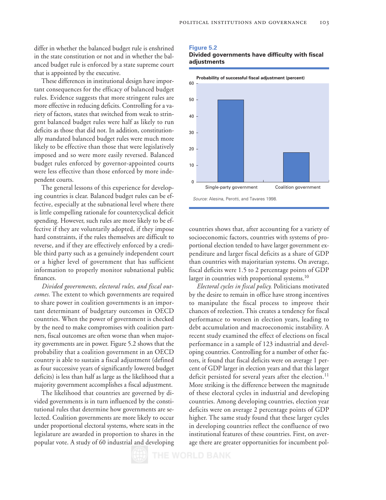differ in whether the balanced budget rule is enshrined in the state constitution or not and in whether the balanced budget rule is enforced by a state supreme court that is appointed by the executive.

These differences in institutional design have important consequences for the efficacy of balanced budget rules. Evidence suggests that more stringent rules are more effective in reducing deficits. Controlling for a variety of factors, states that switched from weak to stringent balanced budget rules were half as likely to run deficits as those that did not. In addition, constitutionally mandated balanced budget rules were much more likely to be effective than those that were legislatively imposed and so were more easily reversed. Balanced budget rules enforced by governor-appointed courts were less effective than those enforced by more independent courts.

The general lessons of this experience for developing countries is clear. Balanced budget rules can be effective, especially at the subnational level where there is little compelling rationale for countercyclical deficit spending. However, such rules are more likely to be effective if they are voluntarily adopted, if they impose hard constraints, if the rules themselves are difficult to reverse, and if they are effectively enforced by a credible third party such as a genuinely independent court or a higher level of government that has sufficient information to properly monitor subnational public finances.

*Divided governments, electoral rules, and fiscal outcomes.* The extent to which governments are required to share power in coalition governments is an important determinant of budgetary outcomes in OECD countries. When the power of government is checked by the need to make compromises with coalition partners, fiscal outcomes are often worse than when majority governments are in power. Figure 5.2 shows that the probability that a coalition government in an OECD country is able to sustain a fiscal adjustment (defined as four successive years of significantly lowered budget deficits) is less than half as large as the likelihood that a majority government accomplishes a fiscal adjustment.

The likelihood that countries are governed by divided governments is in turn influenced by the constitutional rules that determine how governments are selected. Coalition governments are more likely to occur under proportional electoral systems, where seats in the legislature are awarded in proportion to shares in the popular vote. A study of 60 industrial and developing

# **Figure 5.2**





countries shows that, after accounting for a variety of socioeconomic factors, countries with systems of proportional election tended to have larger government expenditure and larger fiscal deficits as a share of GDP than countries with majoritarian systems. On average, fiscal deficits were 1.5 to 2 percentage points of GDP larger in countries with proportional systems.<sup>10</sup>

*Electoral cycles in fiscal policy.* Politicians motivated by the desire to remain in office have strong incentives to manipulate the fiscal process to improve their chances of reelection. This creates a tendency for fiscal performance to worsen in election years, leading to debt accumulation and macroeconomic instability. A recent study examined the effect of elections on fiscal performance in a sample of 123 industrial and developing countries. Controlling for a number of other factors, it found that fiscal deficits were on average 1 percent of GDP larger in election years and that this larger deficit persisted for several years after the election.<sup>11</sup> More striking is the difference between the magnitude of these electoral cycles in industrial and developing countries. Among developing countries, election year deficits were on average 2 percentage points of GDP higher. The same study found that these larger cycles in developing countries reflect the confluence of two institutional features of these countries. First, on average there are greater opportunities for incumbent pol-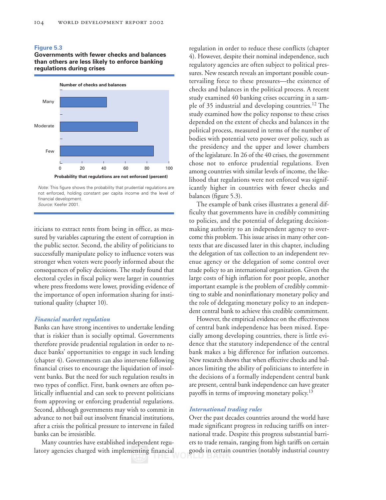### **Figure 5.3**

**Governments with fewer checks and balances than others are less likely to enforce banking regulations during crises**



*Note:* This figure shows the probability that prudential regulations are not enforced, holding constant per capita income and the level of financial development. *Source:* Keefer 2001.

iticians to extract rents from being in office, as measured by variables capturing the extent of corruption in the public sector. Second, the ability of politicians to successfully manipulate policy to influence voters was stronger when voters were poorly informed about the consequences of policy decisions. The study found that electoral cycles in fiscal policy were larger in countries where press freedoms were lower, providing evidence of the importance of open information sharing for institutional quality (chapter 10).

### *Financial market regulation*

Banks can have strong incentives to undertake lending that is riskier than is socially optimal. Governments therefore provide prudential regulation in order to reduce banks' opportunities to engage in such lending (chapter 4). Governments can also intervene following financial crises to encourage the liquidation of insolvent banks. But the need for such regulation results in two types of conflict. First, bank owners are often politically influential and can seek to prevent politicians from approving or enforcing prudential regulations. Second, although governments may wish to commit in advance to not bail out insolvent financial institutions, after a crisis the political pressure to intervene in failed banks can be irresistible.

Many countries have established independent regulatory agencies charged with implementing financial regulation in order to reduce these conflicts (chapter 4). However, despite their nominal independence, such regulatory agencies are often subject to political pressures. New research reveals an important possible countervailing force to these pressures—the existence of checks and balances in the political process. A recent study examined 40 banking crises occurring in a sample of 35 industrial and developing countries.<sup>12</sup> The study examined how the policy response to these crises depended on the extent of checks and balances in the political process, measured in terms of the number of bodies with potential veto power over policy, such as the presidency and the upper and lower chambers of the legislature. In 26 of the 40 crises, the government chose not to enforce prudential regulations. Even among countries with similar levels of income, the likelihood that regulations were not enforced was significantly higher in countries with fewer checks and balances (figure 5.3).

The example of bank crises illustrates a general difficulty that governments have in credibly committing to policies, and the potential of delegating decisionmaking authority to an independent agency to overcome this problem. This issue arises in many other contexts that are discussed later in this chapter, including the delegation of tax collection to an independent revenue agency or the delegation of some control over trade policy to an international organization. Given the large costs of high inflation for poor people, another important example is the problem of credibly committing to stable and noninflationary monetary policy and the role of delegating monetary policy to an independent central bank to achieve this credible commitment.

However, the empirical evidence on the effectiveness of central bank independence has been mixed. Especially among developing countries, there is little evidence that the statutory independence of the central bank makes a big difference for inflation outcomes. New research shows that when effective checks and balances limiting the ability of politicians to interfere in the decisions of a formally independent central bank are present, central bank independence can have greater payoffs in terms of improving monetary policy.<sup>13</sup>

# *International trading rules*

Over the past decades countries around the world have made significant progress in reducing tariffs on international trade. Despite this progress substantial barriers to trade remain, ranging from high tariffs on certain goods in certain countries (notably industrial country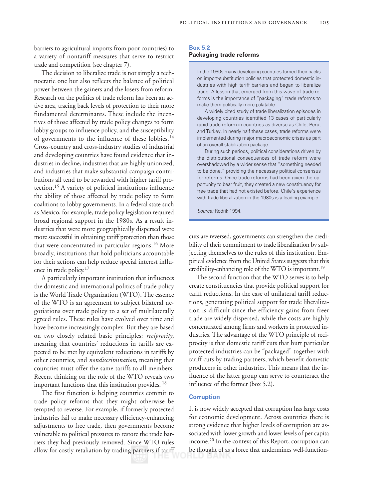barriers to agricultural imports from poor countries) to a variety of nontariff measures that serve to restrict trade and competition (see chapter 7).

The decision to liberalize trade is not simply a technocratic one but also reflects the balance of political power between the gainers and the losers from reform. Research on the politics of trade reform has been an active area, tracing back levels of protection to their more fundamental determinants. These include the incentives of those affected by trade policy changes to form lobby groups to influence policy, and the susceptibility of governments to the influence of these lobbies. $^{14}$ Cross-country and cross-industry studies of industrial and developing countries have found evidence that industries in decline, industries that are highly unionized, and industries that make substantial campaign contributions all tend to be rewarded with higher tariff protection.<sup>15</sup> A variety of political institutions influence the ability of those affected by trade policy to form coalitions to lobby governments. In a federal state such as Mexico, for example, trade policy legislation required broad regional support in the 1980s. As a result industries that were more geographically dispersed were more successful in obtaining tariff protection than those that were concentrated in particular regions.<sup>16</sup> More broadly, institutions that hold politicians accountable for their actions can help reduce special interest influence in trade policy.<sup>17</sup>

A particularly important institution that influences the domestic and international politics of trade policy is the World Trade Organization (WTO). The essence of the WTO is an agreement to subject bilateral negotiations over trade policy to a set of multilaterally agreed rules. These rules have evolved over time and have become increasingly complex. But they are based on two closely related basic principles: *reciprocity*, meaning that countries' reductions in tariffs are expected to be met by equivalent reductions in tariffs by other countries, and *nondiscrimination*, meaning that countries must offer the same tariffs to all members. Recent thinking on the role of the WTO reveals two important functions that this institution provides.<sup>18</sup>

The first function is helping countries commit to trade policy reforms that they might otherwise be tempted to reverse. For example, if formerly protected industries fail to make necessary efficiency-enhancing adjustments to free trade, then governments become vulnerable to political pressures to restore the trade barriers they had previously removed. Since WTO rules allow for costly retaliation by trading partners if tariff

# **Box 5.2 Packaging trade reforms**

In the 1980s many developing countries turned their backs on import-substitution policies that protected domestic industries with high tariff barriers and began to liberalize trade. A lesson that emerged from this wave of trade reforms is the importance of "packaging" trade reforms to make them politically more palatable.

A widely cited study of trade liberalization episodes in developing countries identified 13 cases of particularly rapid trade reform in countries as diverse as Chile, Peru, and Turkey. In nearly half these cases, trade reforms were implemented during major macroeconomic crises as part of an overall stabilization package.

During such periods, political considerations driven by the distributional consequences of trade reform were overshadowed by a wider sense that "something needed to be done," providing the necessary political consensus for reforms. Once trade reforms had been given the opportunity to bear fruit, they created a new constituency for free trade that had not existed before. Chile's experience with trade liberalization in the 1980s is a leading example.

*Source:* Rodrik 1994.

cuts are reversed, governments can strengthen the credibility of their commitment to trade liberalization by subjecting themselves to the rules of this institution. Empirical evidence from the United States suggests that this credibility-enhancing role of the WTO is important.<sup>19</sup>

The second function that the WTO serves is to help create constituencies that provide political support for tariff reductions. In the case of unilateral tariff reductions, generating political support for trade liberalization is difficult since the efficiency gains from freer trade are widely dispersed, while the costs are highly concentrated among firms and workers in protected industries. The advantage of the WTO principle of reciprocity is that domestic tariff cuts that hurt particular protected industries can be "packaged" together with tariff cuts by trading partners, which benefit domestic producers in other industries. This means that the influence of the latter group can serve to counteract the influence of the former (box 5.2).

# **Corruption**

It is now widely accepted that corruption has large costs for economic development. Across countries there is strong evidence that higher levels of corruption are associated with lower growth and lower levels of per capita income.20 In the context of this Report, corruption can be thought of as a force that undermines well-function-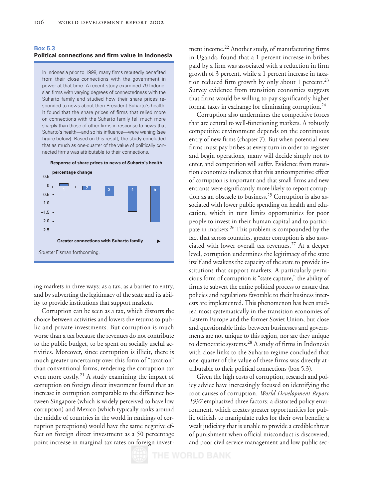# **Box 5.3 Political connections and firm value in Indonesia**

In Indonesia prior to 1998, many firms reputedly benefited from their close connections with the government in power at that time. A recent study examined 79 Indonesian firms with varying degrees of connectedness with the Suharto family and studied how their share prices responded to news about then-President Suharto's health. It found that the share prices of firms that relied more on connections with the Suharto family fell much more sharply than those of other firms in response to news that Suharto's health—and so his influence—were waning (see figure below). Based on this result, the study concluded that as much as one-quarter of the value of politically connected firms was attributable to their connections.

**Response of share prices to news of Suharto's health**



ing markets in three ways: as a tax, as a barrier to entry, and by subverting the legitimacy of the state and its ability to provide institutions that support markets.

Corruption can be seen as a tax, which distorts the choice between activities and lowers the returns to public and private investments. But corruption is much worse than a tax because the revenues do not contribute to the public budget, to be spent on socially useful activities. Moreover, since corruption is illicit, there is much greater uncertainty over this form of "taxation" than conventional forms, rendering the corruption tax even more costly.<sup>21</sup> A study examining the impact of corruption on foreign direct investment found that an increase in corruption comparable to the difference between Singapore (which is widely perceived to have low corruption) and Mexico (which typically ranks around the middle of countries in the world in rankings of corruption perceptions) would have the same negative effect on foreign direct investment as a 50 percentage point increase in marginal tax rates on foreign investment income.<sup>22</sup> Another study, of manufacturing firms in Uganda, found that a 1 percent increase in bribes paid by a firm was associated with a reduction in firm growth of 3 percent, while a 1 percent increase in taxation reduced firm growth by only about 1 percent.<sup>23</sup> Survey evidence from transition economies suggests that firms would be willing to pay significantly higher formal taxes in exchange for eliminating corruption.24

Corruption also undermines the competitive forces that are central to well-functioning markets. A robustly competitive environment depends on the continuous entry of new firms (chapter 7). But when potential new firms must pay bribes at every turn in order to register and begin operations, many will decide simply not to enter, and competition will suffer. Evidence from transition economies indicates that this anticompetitive effect of corruption is important and that small firms and new entrants were significantly more likely to report corruption as an obstacle to business.<sup>25</sup> Corruption is also associated with lower public spending on health and education, which in turn limits opportunities for poor people to invest in their human capital and to participate in markets.<sup>26</sup> This problem is compounded by the fact that across countries, greater corruption is also associated with lower overall tax revenues.<sup>27</sup> At a deeper level, corruption undermines the legitimacy of the state itself and weakens the capacity of the state to provide institutions that support markets. A particularly pernicious form of corruption is "state capture," the ability of firms to subvert the entire political process to ensure that policies and regulations favorable to their business interests are implemented. This phenomenon has been studied most systematically in the transition economies of Eastern Europe and the former Soviet Union, but close and questionable links between businesses and governments are not unique to this region, nor are they unique to democratic systems.<sup>28</sup> A study of firms in Indonesia with close links to the Suharto regime concluded that one-quarter of the value of these firms was directly attributable to their political connections (box 5.3).

Given the high costs of corruption, research and policy advice have increasingly focused on identifying the root causes of corruption. *World Development Report 1997* emphasized three factors: a distorted policy environment, which creates greater opportunities for public officials to manipulate rules for their own benefit; a weak judiciary that is unable to provide a credible threat of punishment when official misconduct is discovered; and poor civil service management and low public sec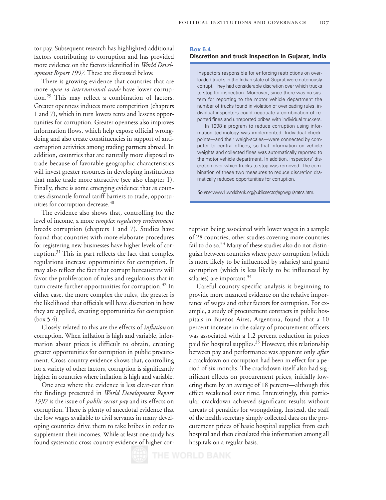tor pay. Subsequent research has highlighted additional factors contributing to corruption and has provided more evidence on the factors identified in *World Development Report 1997.* These are discussed below.

There is growing evidence that countries that are more *open to international trade* have lower corruption.<sup>29</sup> This may reflect a combination of factors. Greater openness induces more competition (chapters 1 and 7), which in turn lowers rents and lessens opportunities for corruption. Greater openness also improves information flows, which help expose official wrongdoing and also create constituencies in support of anticorruption activities among trading partners abroad. In addition, countries that are naturally more disposed to trade because of favorable geographic characteristics will invest greater resources in developing institutions that make trade more attractive (see also chapter 1). Finally, there is some emerging evidence that as countries dismantle formal tariff barriers to trade, opportunities for corruption decrease.30

The evidence also shows that, controlling for the level of income, a more *complex regulatory environment* breeds corruption (chapters 1 and 7). Studies have found that countries with more elaborate procedures for registering new businesses have higher levels of corruption. $31$  This in part reflects the fact that complex regulations increase opportunities for corruption. It may also reflect the fact that corrupt bureaucrats will favor the proliferation of rules and regulations that in turn create further opportunities for corruption.<sup>32</sup> In either case, the more complex the rules, the greater is the likelihood that officials will have discretion in how they are applied, creating opportunities for corruption (box 5.4).

Closely related to this are the effects of *inflation* on corruption. When inflation is high and variable, information about prices is difficult to obtain, creating greater opportunities for corruption in public procurement. Cross-country evidence shows that, controlling for a variety of other factors, corruption is significantly higher in countries where inflation is high and variable.

One area where the evidence is less clear-cut than the findings presented in *World Development Report 1997* is the issue of *public sector pay* and its effects on corruption. There is plenty of anecdotal evidence that the low wages available to civil servants in many developing countries drive them to take bribes in order to supplement their incomes. While at least one study has found systematic cross-country evidence of higher cor-

# **Box 5.4 Discretion and truck inspection in Gujarat, India**

Inspectors responsible for enforcing restrictions on overloaded trucks in the Indian state of Gujarat were notoriously corrupt. They had considerable discretion over which trucks to stop for inspection. Moreover, since there was no system for reporting to the motor vehicle department the number of trucks found in violation of overloading rules, individual inspectors could negotiate a combination of reported fines and unreported bribes with individual truckers.

In 1998 a program to reduce corruption using information technology was implemented. Individual checkpoints—and their weigh-scales—were connected by computer to central offices, so that information on vehicle weights and collected fines was automatically reported to the motor vehicle department. In addition, inspectors' discretion over which trucks to stop was removed. The combination of these two measures to reduce discretion dramatically reduced opportunities for corruption.

*Source:* www1.worldbank.org/publicsector/egov/gujaratcs.htm.

ruption being associated with lower wages in a sample of 28 countries, other studies covering more countries fail to do so. $33$  Many of these studies also do not distinguish between countries where petty corruption (which is more likely to be influenced by salaries) and grand corruption (which is less likely to be influenced by salaries) are important.<sup>34</sup>

Careful country-specific analysis is beginning to provide more nuanced evidence on the relative importance of wages and other factors for corruption. For example, a study of procurement contracts in public hospitals in Buenos Aires, Argentina, found that a 10 percent increase in the salary of procurement officers was associated with a 1.2 percent reduction in prices paid for hospital supplies.<sup>35</sup> However, this relationship between pay and performance was apparent only *after* a crackdown on corruption had been in effect for a period of six months. The crackdown itself also had significant effects on procurement prices, initially lowering them by an average of 18 percent—although this effect weakened over time. Interestingly, this particular crackdown achieved significant results without threats of penalties for wrongdoing. Instead, the staff of the health secretary simply collected data on the procurement prices of basic hospital supplies from each hospital and then circulated this information among all hospitals on a regular basis.

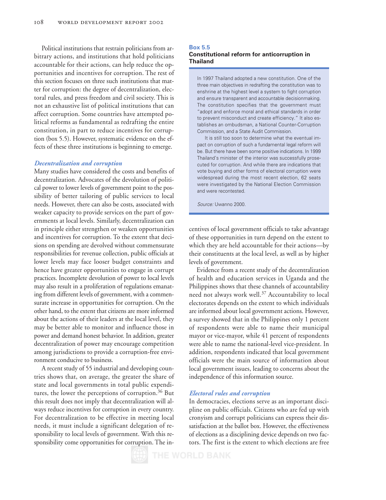Political institutions that restrain politicians from arbitrary actions, and institutions that hold politicians accountable for their actions, can help reduce the opportunities and incentives for corruption. The rest of this section focuses on three such institutions that matter for corruption: the degree of decentralization, electoral rules, and press freedom and civil society. This is not an exhaustive list of political institutions that can affect corruption. Some countries have attempted political reforms as fundamental as redrafting the entire constitution, in part to reduce incentives for corruption (box 5.5). However, systematic evidence on the effects of these three institutions is beginning to emerge.

### *Decentralization and corruption*

Many studies have considered the costs and benefits of decentralization. Advocates of the devolution of political power to lower levels of government point to the possibility of better tailoring of public services to local needs. However, there can also be costs, associated with weaker capacity to provide services on the part of governments at local levels. Similarly, decentralization can in principle either strengthen or weaken opportunities and incentives for corruption. To the extent that decisions on spending are devolved without commensurate responsibilities for revenue collection, public officials at lower levels may face looser budget constraints and hence have greater opportunities to engage in corrupt practices. Incomplete devolution of power to local levels may also result in a proliferation of regulations emanating from different levels of government, with a commensurate increase in opportunities for corruption. On the other hand, to the extent that citizens are more informed about the actions of their leaders at the local level, they may be better able to monitor and influence those in power and demand honest behavior. In addition, greater decentralization of power may encourage competition among jurisdictions to provide a corruption-free environment conducive to business.

A recent study of 55 industrial and developing countries shows that, on average, the greater the share of state and local governments in total public expenditures, the lower the perceptions of corruption.<sup>36</sup> But this result does not imply that decentralization will always reduce incentives for corruption in every country. For decentralization to be effective in meeting local needs, it must include a significant delegation of responsibility to local levels of government. With this responsibility come opportunities for corruption. The in-

# **Box 5.5**

# **Constitutional reform for anticorruption in Thailand**

In 1997 Thailand adopted a new constitution. One of the three main objectives in redrafting the constitution was to enshrine at the highest level a system to fight corruption and ensure transparent and accountable decisionmaking. The constitution specifies that the government must "adopt and enforce moral and ethical standards in order to prevent misconduct and create efficiency." It also establishes an ombudsman, a National Counter-Corruption Commission, and a State Audit Commission.

It is still too soon to determine what the eventual impact on corruption of such a fundamental legal reform will be. But there have been some positive indications. In 1999 Thailand's minister of the interior was successfully prosecuted for corruption. And while there are indications that vote buying and other forms of electoral corruption were widespread during the most recent election, 62 seats were investigated by the National Election Commission and were recontested.

*Source:* Uwanno 2000.

centives of local government officials to take advantage of these opportunities in turn depend on the extent to which they are held accountable for their actions—by their constituents at the local level, as well as by higher levels of government.

Evidence from a recent study of the decentralization of health and education services in Uganda and the Philippines shows that these channels of accountability need not always work well.<sup>37</sup> Accountability to local electorates depends on the extent to which individuals are informed about local government actions. However, a survey showed that in the Philippines only 1 percent of respondents were able to name their municipal mayor or vice-mayor, while 41 percent of respondents were able to name the national-level vice-president. In addition, respondents indicated that local government officials were the main source of information about local government issues, leading to concerns about the independence of this information source.

# *Electoral rules and corruption*

In democracies, elections serve as an important discipline on public officials. Citizens who are fed up with cronyism and corrupt politicians can express their dissatisfaction at the ballot box. However, the effectiveness of elections as a disciplining device depends on two factors. The first is the extent to which elections are free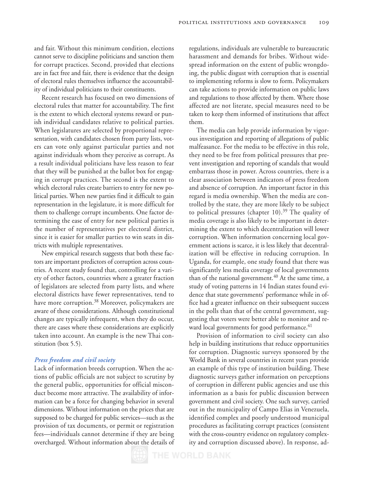and fair. Without this minimum condition, elections cannot serve to discipline politicians and sanction them for corrupt practices. Second, provided that elections are in fact free and fair, there is evidence that the design of electoral rules themselves influence the accountability of individual politicians to their constituents.

Recent research has focused on two dimensions of electoral rules that matter for accountability. The first is the extent to which electoral systems reward or punish individual candidates relative to political parties. When legislatures are selected by proportional representation, with candidates chosen from party lists, voters can vote only against particular parties and not against individuals whom they perceive as corrupt. As a result individual politicians have less reason to fear that they will be punished at the ballot box for engaging in corrupt practices. The second is the extent to which electoral rules create barriers to entry for new political parties. When new parties find it difficult to gain representation in the legislature, it is more difficult for them to challenge corrupt incumbents. One factor determining the ease of entry for new political parties is the number of representatives per electoral district, since it is easier for smaller parties to win seats in districts with multiple representatives.

New empirical research suggests that both these factors are important predictors of corruption across countries. A recent study found that, controlling for a variety of other factors, countries where a greater fraction of legislators are selected from party lists, and where electoral districts have fewer representatives, tend to have more corruption.<sup>38</sup> Moreover, policymakers are aware of these considerations. Although constitutional changes are typically infrequent, when they do occur, there are cases where these considerations are explicitly taken into account. An example is the new Thai constitution (box 5.5).

# *Press freedom and civil society*

Lack of information breeds corruption. When the actions of public officials are not subject to scrutiny by the general public, opportunities for official misconduct become more attractive. The availability of information can be a force for changing behavior in several dimensions. Without information on the prices that are supposed to be charged for public services—such as the provision of tax documents, or permit or registration fees—individuals cannot determine if they are being overcharged. Without information about the details of

regulations, individuals are vulnerable to bureaucratic harassment and demands for bribes. Without widespread information on the extent of public wrongdoing, the public disgust with corruption that is essential to implementing reforms is slow to form. Policymakers can take actions to provide information on public laws and regulations to those affected by them. Where those affected are not literate, special measures need to be taken to keep them informed of institutions that affect them.

The media can help provide information by vigorous investigation and reporting of allegations of public malfeasance. For the media to be effective in this role, they need to be free from political pressures that prevent investigation and reporting of scandals that would embarrass those in power. Across countries, there is a clear association between indicators of press freedom and absence of corruption. An important factor in this regard is media ownership. When the media are controlled by the state, they are more likely to be subject to political pressures (chapter  $10$ ).<sup>39</sup> The quality of media coverage is also likely to be important in determining the extent to which decentralization will lower corruption. When information concerning local government actions is scarce, it is less likely that decentralization will be effective in reducing corruption. In Uganda, for example, one study found that there was significantly less media coverage of local governments than of the national government. $40$  At the same time, a study of voting patterns in 14 Indian states found evidence that state governments' performance while in office had a greater influence on their subsequent success in the polls than that of the central government, suggesting that voters were better able to monitor and reward local governments for good performance.<sup>41</sup>

Provision of information to civil society can also help in building institutions that reduce opportunities for corruption. Diagnostic surveys sponsored by the World Bank in several countries in recent years provide an example of this type of institution building. These diagnostic surveys gather information on perceptions of corruption in different public agencies and use this information as a basis for public discussion between government and civil society. One such survey, carried out in the municipality of Campo Elias in Venezuela, identified complex and poorly understood municipal procedures as facilitating corrupt practices (consistent with the cross-country evidence on regulatory complexity and corruption discussed above). In response, ad-

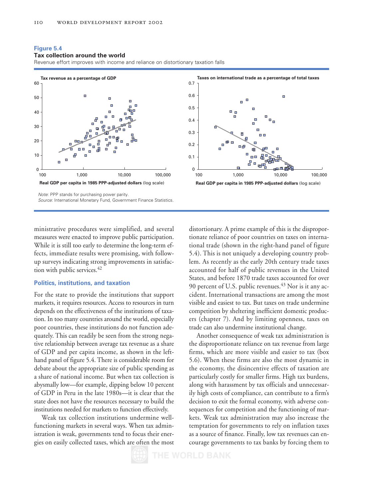## **Figure 5.4**

# **Tax collection around the world**

Revenue effort improves with income and reliance on distortionary taxation falls



*Source*: International Monetary Fund, Government Finance Statistics.

ministrative procedures were simplified, and several measures were enacted to improve public participation. While it is still too early to determine the long-term effects, immediate results were promising, with followup surveys indicating strong improvements in satisfaction with public services.<sup>42</sup>

# **Politics, institutions, and taxation**

For the state to provide the institutions that support markets, it requires resources. Access to resources in turn depends on the effectiveness of the institutions of taxation. In too many countries around the world, especially poor countries, these institutions do not function adequately. This can readily be seen from the strong negative relationship between average tax revenue as a share of GDP and per capita income, as shown in the lefthand panel of figure 5.4. There is considerable room for debate about the appropriate size of public spending as a share of national income. But when tax collection is abysmally low—for example, dipping below 10 percent of GDP in Peru in the late 1980s—it is clear that the state does not have the resources necessary to build the institutions needed for markets to function effectively.

Weak tax collection institutions undermine wellfunctioning markets in several ways. When tax administration is weak, governments tend to focus their energies on easily collected taxes, which are often the most



100 10,000 100,000 1,000 **Real GDP per capita in 1985 PPP-adjusted dollars** (log scale)

I

 $\blacksquare$  $\blacksquare$ 

 $\Omega$ 0.1 0.2 0.3 0.4 0.5 0.6 0.7

L

 $\blacksquare$ 

**Taxes on international trade as a percentage of total taxes**

П  $\blacksquare$ 

Another consequence of weak tax administration is the disproportionate reliance on tax revenue from large firms, which are more visible and easier to tax (box 5.6). When these firms are also the most dynamic in the economy, the disincentive effects of taxation are particularly costly for smaller firms. High tax burdens, along with harassment by tax officials and unnecessarily high costs of compliance, can contribute to a firm's decision to exit the formal economy, with adverse consequences for competition and the functioning of markets. Weak tax administration may also increase the temptation for governments to rely on inflation taxes as a source of finance. Finally, low tax revenues can encourage governments to tax banks by forcing them to

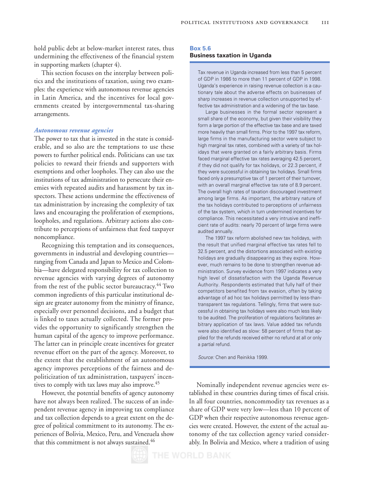hold public debt at below-market interest rates, thus undermining the effectiveness of the financial system in supporting markets (chapter 4).

This section focuses on the interplay between politics and the institutions of taxation, using two examples: the experience with autonomous revenue agencies in Latin America, and the incentives for local governments created by intergovernmental tax-sharing arrangements.

### *Autonomous revenue agencies*

The power to tax that is invested in the state is considerable, and so also are the temptations to use these powers to further political ends. Politicians can use tax policies to reward their friends and supporters with exemptions and other loopholes. They can also use the institutions of tax administration to persecute their enemies with repeated audits and harassment by tax inspectors. These actions undermine the effectiveness of tax administration by increasing the complexity of tax laws and encouraging the proliferation of exemptions, loopholes, and regulations. Arbitrary actions also contribute to perceptions of unfairness that feed taxpayer noncompliance.

Recognizing this temptation and its consequences, governments in industrial and developing countries ranging from Canada and Japan to Mexico and Colombia—have delegated responsibility for tax collection to revenue agencies with varying degrees of autonomy from the rest of the public sector bureaucracy.<sup>44</sup> Two common ingredients of this particular institutional design are greater autonomy from the ministry of finance, especially over personnel decisions, and a budget that is linked to taxes actually collected. The former provides the opportunity to significantly strengthen the human capital of the agency to improve performance. The latter can in principle create incentives for greater revenue effort on the part of the agency. Moreover, to the extent that the establishment of an autonomous agency improves perceptions of the fairness and depoliticization of tax administration, taxpayers' incentives to comply with tax laws may also improve.<sup>45</sup>

However, the potential benefits of agency autonomy have not always been realized. The success of an independent revenue agency in improving tax compliance and tax collection depends to a great extent on the degree of political commitment to its autonomy. The experiences of Bolivia, Mexico, Peru, and Venezuela show that this commitment is not always sustained.<sup>46</sup>

# **Box 5.6 Business taxation in Uganda**

Tax revenue in Uganda increased from less than 5 percent of GDP in 1986 to more than 11 percent of GDP in 1998. Uganda's experience in raising revenue collection is a cautionary tale about the adverse effects on businesses of sharp increases in revenue collection unsupported by effective tax administration and a widening of the tax base.

Large businesses in the formal sector represent a small share of the economy, but given their visibility they form a large portion of the effective tax base and are taxed more heavily than small firms. Prior to the 1997 tax reform, large firms in the manufacturing sector were subject to high marginal tax rates, combined with a variety of tax holidays that were granted on a fairly arbitrary basis. Firms faced marginal effective tax rates averaging 42.5 percent, if they did not qualify for tax holidays, or 22.3 percent, if they were successful in obtaining tax holidays. Small firms faced only a presumptive tax of 1 percent of their turnover, with an overall marginal effective tax rate of 8.9 percent. The overall high rates of taxation discouraged investment among large firms. As important, the arbitrary nature of the tax holidays contributed to perceptions of unfairness of the tax system, which in turn undermined incentives for compliance. This necessitated a very intrusive and inefficient rate of audits: nearly 70 percent of large firms were audited annually.

The 1997 tax reform abolished new tax holidays, with the result that unified marginal effective tax rates fell to 32.5 percent, and the distortions associated with existing holidays are gradually disappearing as they expire. However, much remains to be done to strengthen revenue administration. Survey evidence from 1997 indicates a very high level of dissatisfaction with the Uganda Revenue Authority. Respondents estimated that fully half of their competitors benefited from tax evasion, often by taking advantage of ad hoc tax holidays permitted by less-thantransparent tax regulations. Tellingly, firms that were successful in obtaining tax holidays were also much less likely to be audited. The proliferation of regulations facilitates arbitrary application of tax laws. Value added tax refunds were also identified as slow: 58 percent of firms that applied for the refunds received either no refund at all or only a partial refund.

*Source:* Chen and Reinikka 1999.

Nominally independent revenue agencies were established in these countries during times of fiscal crisis. In all four countries, noncommodity tax revenues as a share of GDP were very low—less than 10 percent of GDP when their respective autonomous revenue agencies were created. However, the extent of the actual autonomy of the tax collection agency varied considerably. In Bolivia and Mexico, where a tradition of using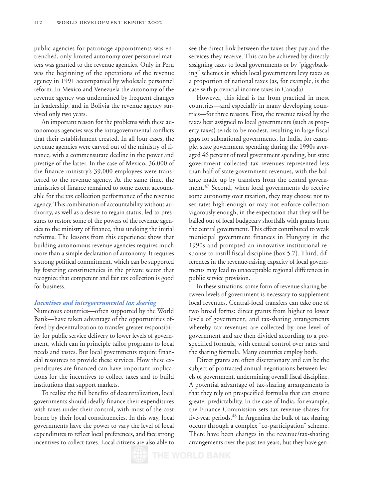public agencies for patronage appointments was entrenched, only limited autonomy over personnel matters was granted to the revenue agencies. Only in Peru was the beginning of the operations of the revenue agency in 1991 accompanied by wholesale personnel reform. In Mexico and Venezuela the autonomy of the revenue agency was undermined by frequent changes in leadership, and in Bolivia the revenue agency survived only two years.

An important reason for the problems with these autonomous agencies was the intragovernmental conflicts that their establishment created. In all four cases, the revenue agencies were carved out of the ministry of finance, with a commensurate decline in the power and prestige of the latter. In the case of Mexico, 36,000 of the finance ministry's 39,000 employees were transferred to the revenue agency. At the same time, the ministries of finance remained to some extent accountable for the tax collection performance of the revenue agency. This combination of accountability without authority, as well as a desire to regain status, led to pressures to restore some of the powers of the revenue agencies to the ministry of finance, thus undoing the initial reforms. The lessons from this experience show that building autonomous revenue agencies requires much more than a simple declaration of autonomy. It requires a strong political commitment, which can be supported by fostering constituencies in the private sector that recognize that competent and fair tax collection is good for business.

# *Incentives and intergovernmental tax sharing*

Numerous countries—often supported by the World Bank—have taken advantage of the opportunities offered by decentralization to transfer greater responsibility for public service delivery to lower levels of government, which can in principle tailor programs to local needs and tastes. But local governments require financial resources to provide these services. How these expenditures are financed can have important implications for the incentives to collect taxes and to build institutions that support markets.

To realize the full benefits of decentralization, local governments should ideally finance their expenditures with taxes under their control, with most of the cost borne by their local constituencies. In this way, local governments have the power to vary the level of local expenditures to reflect local preferences, and face strong incentives to collect taxes. Local citizens are also able to see the direct link between the taxes they pay and the services they receive. This can be achieved by directly assigning taxes to local governments or by "piggybacking" schemes in which local governments levy taxes as a proportion of national taxes (as, for example, is the case with provincial income taxes in Canada).

However, this ideal is far from practical in most countries—and especially in many developing countries—for three reasons. First, the revenue raised by the taxes best assigned to local governments (such as property taxes) tends to be modest, resulting in large fiscal gaps for subnational governments. In India, for example, state government spending during the 1990s averaged 46 percent of total government spending, but state government–collected tax revenues represented less than half of state government revenues, with the balance made up by transfers from the central government.<sup>47</sup> Second, when local governments do receive some autonomy over taxation, they may choose not to set rates high enough or may not enforce collection vigorously enough, in the expectation that they will be bailed out of local budgetary shortfalls with grants from the central government. This effect contributed to weak municipal government finances in Hungary in the 1990s and prompted an innovative institutional response to instill fiscal discipline (box 5.7). Third, differences in the revenue-raising capacity of local governments may lead to unacceptable regional differences in public service provision.

In these situations, some form of revenue sharing between levels of government is necessary to supplement local revenues. Central-local transfers can take one of two broad forms: direct grants from higher to lower levels of government, and tax-sharing arrangements whereby tax revenues are collected by one level of government and are then divided according to a prespecified formula, with central control over rates and the sharing formula. Many countries employ both.

Direct grants are often discretionary and can be the subject of protracted annual negotiations between levels of government, undermining overall fiscal discipline. A potential advantage of tax-sharing arrangements is that they rely on prespecified formulas that can ensure greater predictability. In the case of India, for example, the Finance Commission sets tax revenue shares for five-year periods.<sup>48</sup> In Argentina the bulk of tax sharing occurs through a complex "co-participation" scheme. There have been changes in the revenue/tax-sharing arrangements over the past ten years, but they have gen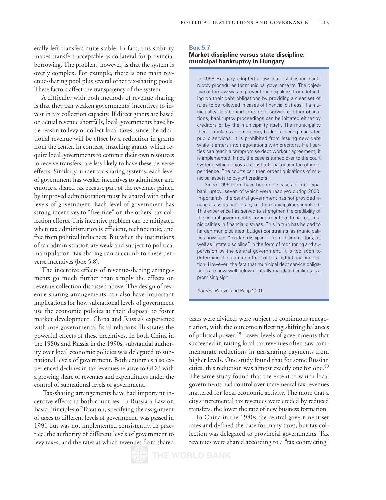erally left transfers quite stable. In fact, this stability makes transfers acceptable as collateral for provincial borrowing. The problem, however, is that the system is overly complex. For example, there is one main revenue-sharing pool plus several other tax-sharing pools. These factors affect the transparency of the system.

A difficulty with both methods of revenue sharing is that they can weaken governments' incentives to invest in tax collection capacity. If direct grants are based on actual revenue shortfalls, local governments have little reason to levy or collect local taxes, since the additional revenue will be offset by a reduction in grants from the center. In contrast, matching grants, which require local governments to commit their own resources to receive transfers, are less likely to have these perverse effects. Similarly, under tax-sharing systems, each level of government has weaker incentives to administer and enforce a shared tax because part of the revenues gained by improved administration must be shared with other levels of government. Each level of government has strong incentives to "free ride" on the others' tax collection efforts. This incentive problem can be mitigated when tax administration is efficient, technocratic, and free from political influences. But when the institutions of tax administration are weak and subject to political manipulation, tax sharing can succumb to these perverse incentives (box 5.8).

The incentive effects of revenue-sharing arrangements go much further than simply the effects on revenue collection discussed above. The design of revenue-sharing arrangements can also have important implications for how subnational levels of government use the economic policies at their disposal to foster market development. China and Russia's experience with intergovernmental fiscal relations illustrates the powerful effects of these incentives. In both China in the 1980s and Russia in the 1990s, substantial authority over local economic policies was delegated to subnational levels of government. Both countries also experienced declines in tax revenues relative to GDP, with a growing share of revenues and expenditures under the control of subnational levels of government.

Tax-sharing arrangements have had important incentive effects in both countries. In Russia a Law on Basic Principles of Taxation, specifying the assignment of taxes to different levels of government, was passed in 1991 but was not implemented consistently. In practice, the authority of different levels of government to levy taxes, and the rates at which revenues from shared

# **Box 5.7**

# **Market discipline versus state discipline: municipal bankruptcy in Hungary**

In 1996 Hungary adopted a law that established bankruptcy procedures for municipal governments. The objective of the law was to prevent municipalities from defaulting on their debt obligations by providing a clear set of rules to be followed in cases of financial distress. If a municipality falls behind in its debt service or other obligations, bankruptcy proceedings can be initiated either by creditors or by the municipality itself. The municipality then formulates an emergency budget covering mandated public services. It is prohibited from issuing new debt while it enters into negotiations with creditors. If all parties can reach a compromise debt workout agreement, it is implemented. If not, the case is turned over to the court system, which enjoys a constitutional guarantee of independence. The courts can then order liquidations of municipal assets to pay off creditors.

Since 1996 there have been nine cases of municipal bankruptcy, seven of which were resolved during 2000. Importantly, the central government has not provided financial assistance to any of the municipalities involved. This experience has served to strengthen the credibility of the central government's commitment not to bail out municipalities in financial distress. This in turn has helped to harden municipalities' budget constraints, as municipalities now face "market discipline" from their creditors, as well as "state discipline" in the form of monitoring and supervision by the central government. It is too soon to determine the ultimate effect of this institutional innovation. However, the fact that municipal debt service obligations are now well below centrally mandated ceilings is a promising sign.

*Source:* Wetzel and Papp 2001.

taxes were divided, were subject to continuous renegotiation, with the outcome reflecting shifting balances of political power.<sup>49</sup> Lower levels of governments that succeeded in raising local tax revenues often saw commensurate reductions in tax-sharing payments from higher levels. One study found that for some Russian cities, this reduction was almost exactly one for one.<sup>50</sup> The same study found that the extent to which local governments had control over incremental tax revenues mattered for local economic activity. The more that a city's incremental tax revenues were eroded by reduced transfers, the lower the rate of new business formation.

In China in the 1980s the central government set rates and defined the base for many taxes, but tax collection was delegated to provincial governments. Tax revenues were shared according to a "tax contracting"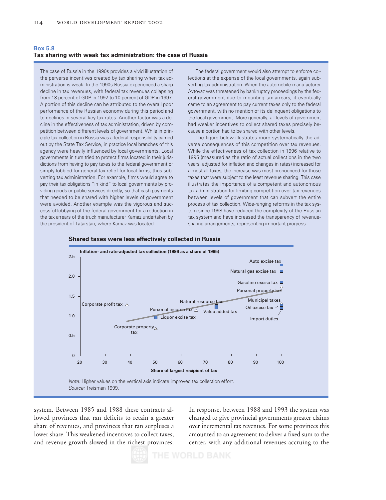# **Box 5.8 Tax sharing with weak tax administration: the case of Russia**

The case of Russia in the 1990s provides a vivid illustration of the perverse incentives created by tax sharing when tax administration is weak. In the 1990s Russia experienced a sharp decline in tax revenues, with federal tax revenues collapsing from 18 percent of GDP in 1992 to 10 percent of GDP in 1997. A portion of this decline can be attributed to the overall poor performance of the Russian economy during this period and to declines in several key tax rates. Another factor was a decline in the effectiveness of tax administration, driven by competition between different levels of government. While in principle tax collection in Russia was a federal responsibility carried out by the State Tax Service, in practice local branches of this agency were heavily influenced by local governments. Local governments in turn tried to protect firms located in their jurisdictions from having to pay taxes to the federal government or simply lobbied for general tax relief for local firms, thus subverting tax administration. For example, firms would agree to pay their tax obligations "in kind" to local governments by providing goods or public services directly, so that cash payments that needed to be shared with higher levels of government were avoided. Another example was the vigorous and successful lobbying of the federal government for a reduction in the tax arrears of the truck manufacturer Kamaz undertaken by the president of Tatarstan, where Kamaz was located.

The federal government would also attempt to enforce collections at the expense of the local governments, again subverting tax administration. When the automobile manufacturer Avtovaz was threatened by bankruptcy proceedings by the federal government due to mounting tax arrears, it eventually came to an agreement to pay current taxes only to the federal government, with no mention of its delinquent obligations to the local government. More generally, all levels of government had weaker incentives to collect shared taxes precisely because a portion had to be shared with other levels.

The figure below illustrates more systematically the adverse consequences of this competition over tax revenues. While the effectiveness of tax collection in 1996 relative to 1995 (measured as the ratio of actual collections in the two years, adjusted for inflation and changes in rates) increased for almost all taxes, the increase was most pronounced for those taxes that were subject to the least revenue sharing. This case illustrates the importance of a competent and autonomous tax administration for limiting competition over tax revenues between levels of government that can subvert the entire process of tax collection. Wide-ranging reforms in the tax system since 1998 have reduced the complexity of the Russian tax system and have increased the transparency of revenuesharing arrangements, representing important progress.



### **Shared taxes were less effectively collected in Russia**

system. Between 1985 and 1988 these contracts allowed provinces that ran deficits to retain a greater share of revenues, and provinces that ran surpluses a lower share. This weakened incentives to collect taxes, and revenue growth slowed in the richest provinces. In response, between 1988 and 1993 the system was changed to give provincial governments greater claims over incremental tax revenues. For some provinces this amounted to an agreement to deliver a fixed sum to the center, with any additional revenues accruing to the

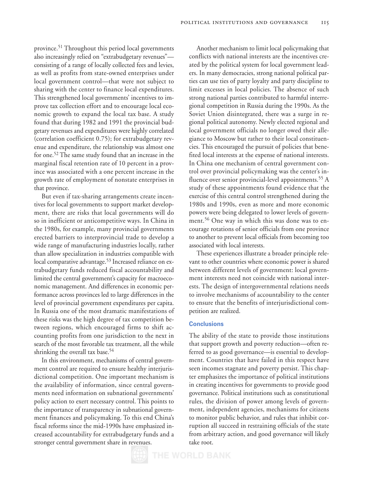province.<sup>51</sup> Throughout this period local governments also increasingly relied on "extrabudgetary revenues" consisting of a range of locally collected fees and levies, as well as profits from state-owned enterprises under local government control—that were not subject to sharing with the center to finance local expenditures. This strengthened local governments' incentives to improve tax collection effort and to encourage local economic growth to expand the local tax base. A study found that during 1982 and 1991 the provincial budgetary revenues and expenditures were highly correlated (correlation coefficient 0.75); for extrabudgetary revenue and expenditure, the relationship was almost one for one.52 The same study found that an increase in the marginal fiscal retention rate of 10 percent in a province was associated with a one percent increase in the growth rate of employment of nonstate enterprises in that province.

But even if tax-sharing arrangements create incentives for local governments to support market development, there are risks that local governments will do so in inefficient or anticompetitive ways. In China in the 1980s, for example, many provincial governments erected barriers to interprovincial trade to develop a wide range of manufacturing industries locally, rather than allow specialization in industries compatible with local comparative advantage.<sup>53</sup> Increased reliance on extrabudgetary funds reduced fiscal accountability and limited the central government's capacity for macroeconomic management. And differences in economic performance across provinces led to large differences in the level of provincial government expenditures per capita. In Russia one of the most dramatic manifestations of these risks was the high degree of tax competition between regions, which encouraged firms to shift accounting profits from one jurisdiction to the next in search of the most favorable tax treatment, all the while shrinking the overall tax base.<sup>54</sup>

In this environment, mechanisms of central government control are required to ensure healthy interjurisdictional competition. One important mechanism is the availability of information, since central governments need information on subnational governments' policy action to exert necessary control. This points to the importance of transparency in subnational government finances and policymaking. To this end China's fiscal reforms since the mid-1990s have emphasized increased accountability for extrabudgetary funds and a stronger central government share in revenues.

Another mechanism to limit local policymaking that conflicts with national interests are the incentives created by the political system for local government leaders. In many democracies, strong national political parties can use ties of party loyalty and party discipline to limit excesses in local policies. The absence of such strong national parties contributed to harmful interregional competition in Russia during the 1990s. As the Soviet Union disintegrated, there was a surge in regional political autonomy. Newly elected regional and local government officials no longer owed their allegiance to Moscow but rather to their local constituencies. This encouraged the pursuit of policies that benefited local interests at the expense of national interests. In China one mechanism of central government control over provincial policymaking was the center's influence over senior provincial-level appointments.<sup>55</sup> A study of these appointments found evidence that the exercise of this central control strengthened during the 1980s and 1990s, even as more and more economic powers were being delegated to lower levels of government.<sup>56</sup> One way in which this was done was to encourage rotations of senior officials from one province to another to prevent local officials from becoming too associated with local interests.

These experiences illustrate a broader principle relevant to other countries where economic power is shared between different levels of government: local government interests need not coincide with national interests. The design of intergovernmental relations needs to involve mechanisms of accountability to the center to ensure that the benefits of interjurisdictional competition are realized.

### **Conclusions**

The ability of the state to provide those institutions that support growth and poverty reduction—often referred to as good governance—is essential to development. Countries that have failed in this respect have seen incomes stagnate and poverty persist. This chapter emphasizes the importance of political institutions in creating incentives for governments to provide good governance. Political institutions such as constitutional rules, the division of power among levels of government, independent agencies, mechanisms for citizens to monitor public behavior, and rules that inhibit corruption all succeed in restraining officials of the state from arbitrary action, and good governance will likely take root.